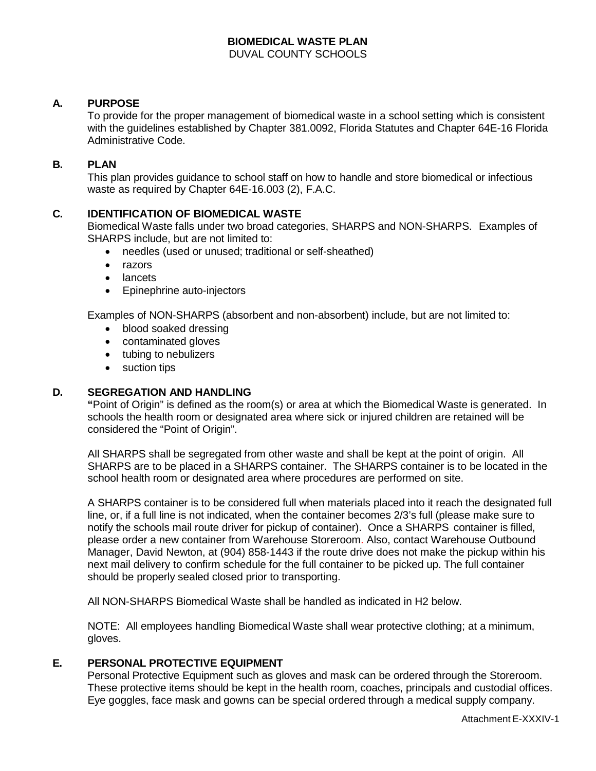# **BIOMEDICAL WASTE PLAN**

DUVAL COUNTY SCHOOLS

### **A. PURPOSE**

To provide for the proper management of biomedical waste in a school setting which is consistent with the guidelines established by Chapter 381.0092, Florida Statutes and Chapter 64E-16 Florida Administrative Code.

### **B. PLAN**

This plan provides guidance to school staff on how to handle and store biomedical or infectious waste as required by Chapter 64E-16.003 (2), F.A.C.

#### **C. IDENTIFICATION OF BIOMEDICAL WASTE**

Biomedical Waste falls under two broad categories, SHARPS and NON-SHARPS. Examples of SHARPS include, but are not limited to:

- needles (used or unused; traditional or self-sheathed)
- razors
- lancets
- Epinephrine auto-injectors

Examples of NON-SHARPS (absorbent and non-absorbent) include, but are not limited to:

- blood soaked dressing
- contaminated gloves
- tubing to nebulizers
- suction tips

### **D. SEGREGATION AND HANDLING**

**"**Point of Origin" is defined as the room(s) or area at which the Biomedical Waste is generated. In schools the health room or designated area where sick or injured children are retained will be considered the "Point of Origin".

All SHARPS shall be segregated from other waste and shall be kept at the point of origin. All SHARPS are to be placed in a SHARPS container. The SHARPS container is to be located in the school health room or designated area where procedures are performed on site.

A SHARPS container is to be considered full when materials placed into it reach the designated full line, or, if a full line is not indicated, when the container becomes 2/3's full (please make sure to notify the schools mail route driver for pickup of container). Once a SHARPS container is filled, please order a new container from Warehouse Storeroom. Also, contact Warehouse Outbound Manager, David Newton, at (904) 858-1443 if the route drive does not make the pickup within his next mail delivery to confirm schedule for the full container to be picked up. The full container should be properly sealed closed prior to transporting.

All NON-SHARPS Biomedical Waste shall be handled as indicated in H2 below.

NOTE: All employees handling Biomedical Waste shall wear protective clothing; at a minimum, gloves.

#### **E. PERSONAL PROTECTIVE EQUIPMENT**

Personal Protective Equipment such as gloves and mask can be ordered through the Storeroom. These protective items should be kept in the health room, coaches, principals and custodial offices. Eye goggles, face mask and gowns can be special ordered through a medical supply company.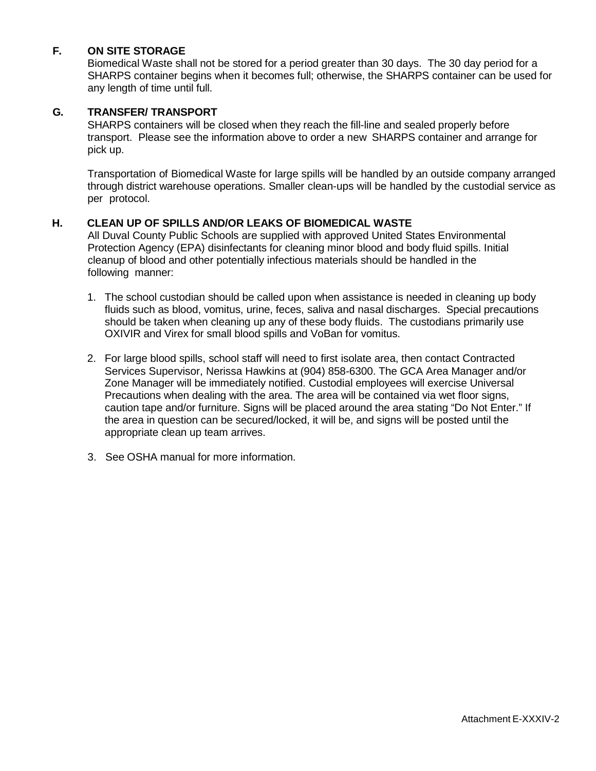# **F. ON SITE STORAGE**

Biomedical Waste shall not be stored for a period greater than 30 days. The 30 day period for a SHARPS container begins when it becomes full; otherwise, the SHARPS container can be used for any length of time until full.

### **G. TRANSFER/ TRANSPORT**

SHARPS containers will be closed when they reach the fill-line and sealed properly before transport. Please see the information above to order a new SHARPS container and arrange for pick up.

Transportation of Biomedical Waste for large spills will be handled by an outside company arranged through district warehouse operations. Smaller clean-ups will be handled by the custodial service as per protocol.

### **H. CLEAN UP OF SPILLS AND/OR LEAKS OF BIOMEDICAL WASTE**

All Duval County Public Schools are supplied with approved United States Environmental Protection Agency (EPA) disinfectants for cleaning minor blood and body fluid spills. Initial cleanup of blood and other potentially infectious materials should be handled in the following manner:

- 1. The school custodian should be called upon when assistance is needed in cleaning up body fluids such as blood, vomitus, urine, feces, saliva and nasal discharges. Special precautions should be taken when cleaning up any of these body fluids. The custodians primarily use OXIVIR and Virex for small blood spills and VoBan for vomitus.
- 2. For large blood spills, school staff will need to first isolate area, then contact Contracted Services Supervisor, Nerissa Hawkins at (904) 858-6300. The GCA Area Manager and/or Zone Manager will be immediately notified. Custodial employees will exercise Universal Precautions when dealing with the area. The area will be contained via wet floor signs, caution tape and/or furniture. Signs will be placed around the area stating "Do Not Enter." If the area in question can be secured/locked, it will be, and signs will be posted until the appropriate clean up team arrives.
- 3. See OSHA manual for more information.